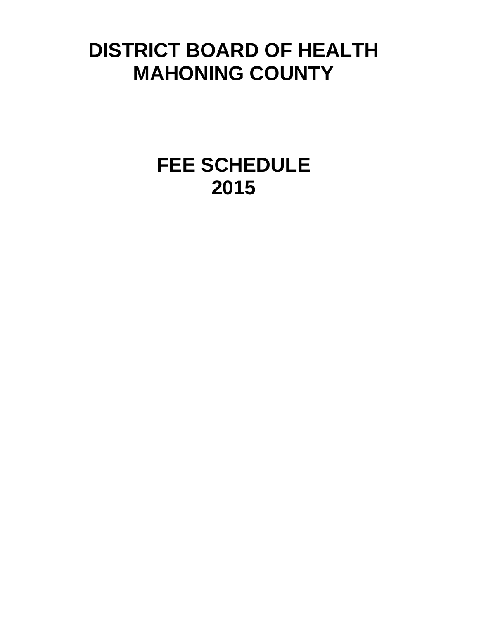# **DISTRICT BOARD OF HEALTH MAHONING COUNTY**

**FEE SCHEDULE 2015**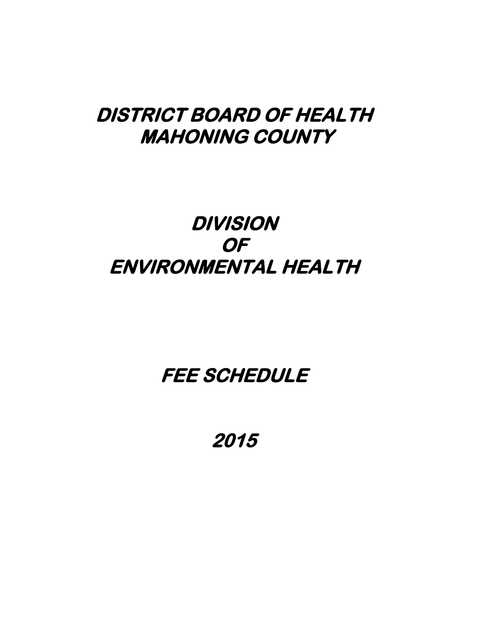### **DISTRICT BOARD OF HEALTH MAHONING COUNTY**

## **DIVISION OF ENVIRONMENTAL HEALTH**

### **FEE SCHEDULE**

**2015**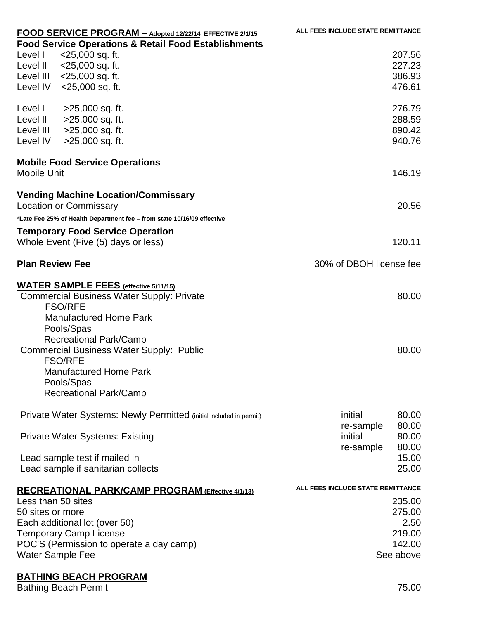|                        | FOOD SERVICE PROGRAM - Adopted 12/22/14 EFFECTIVE 2/1/15                    | ALL FEES INCLUDE STATE REMITTANCE |
|------------------------|-----------------------------------------------------------------------------|-----------------------------------|
|                        | <b>Food Service Operations &amp; Retail Food Establishments</b>             |                                   |
| Level I                | <25,000 sq. ft.                                                             | 207.56                            |
|                        | Level II < 25,000 sq. ft.                                                   | 227.23                            |
|                        | Level III < 25,000 sq. ft.                                                  | 386.93                            |
|                        | Level IV < 25,000 sq. ft.                                                   | 476.61                            |
| Level I                | >25,000 sq. ft.                                                             | 276.79                            |
|                        | Level II > 25,000 sq. ft.                                                   | 288.59                            |
|                        | Level III > 25,000 sq. ft.                                                  | 890.42                            |
| Level IV               | >25,000 sq. ft.                                                             | 940.76                            |
| <b>Mobile Unit</b>     | <b>Mobile Food Service Operations</b>                                       | 146.19                            |
|                        | <b>Vending Machine Location/Commissary</b><br><b>Location or Commissary</b> | 20.56                             |
|                        | *Late Fee 25% of Health Department fee - from state 10/16/09 effective      |                                   |
|                        | <b>Temporary Food Service Operation</b>                                     |                                   |
|                        | Whole Event (Five (5) days or less)                                         | 120.11                            |
| <b>Plan Review Fee</b> |                                                                             | 30% of DBOH license fee           |
|                        | <b>WATER SAMPLE FEES (effective 5/11/15)</b>                                |                                   |
|                        | <b>Commercial Business Water Supply: Private</b>                            | 80.00                             |
|                        | <b>FSO/RFE</b>                                                              |                                   |
|                        | <b>Manufactured Home Park</b>                                               |                                   |
|                        | Pools/Spas                                                                  |                                   |
|                        | $-1$ $-1$                                                                   |                                   |

Manufacture Pools/Spas Recreational Park/Camp Commercial Business Water Supply: Public FSO/RFE Manufactured Home Park Pools/Spas Recreational Park/Camp

| initial   | 80.00     |
|-----------|-----------|
|           | 80.00     |
| initial   | 80.00     |
| re-sample | 80.00     |
|           | 15.00     |
|           | 25.00     |
|           | re-sample |

#### **RECREATIONAL PARK/CAMP PROGRAM (Effective 4/1/13) ALL FEES INCLUDE STATE REMITTANCE** Less than 50 sites 235.00 50 sites or more 275.00 Each additional lot (over 50) 2.50 Temporary Camp License 219.00 POC'S (Permission to operate a day camp) 142.00 Water Sample Fee See above

#### **BATHING BEACH PROGRAM**

Bathing Beach Permit 75.00

80.00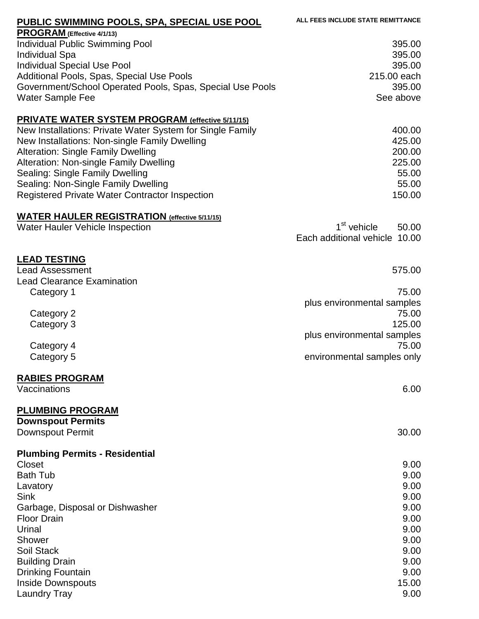| <b>PUBLIC SWIMMING POOLS, SPA, SPECIAL USE POOL</b>                                                                                                                                                                                                                                                                                                                                             | ALL FEES INCLUDE STATE REMITTANCE                                                                     |
|-------------------------------------------------------------------------------------------------------------------------------------------------------------------------------------------------------------------------------------------------------------------------------------------------------------------------------------------------------------------------------------------------|-------------------------------------------------------------------------------------------------------|
| PROGRAM (Effective 4/1/13)<br><b>Individual Public Swimming Pool</b><br><b>Individual Spa</b><br><b>Individual Special Use Pool</b><br>Additional Pools, Spas, Special Use Pools<br>Government/School Operated Pools, Spas, Special Use Pools<br><b>Water Sample Fee</b>                                                                                                                        | 395.00<br>395.00<br>395.00<br>215.00 each<br>395.00<br>See above                                      |
| <b>PRIVATE WATER SYSTEM PROGRAM (effective 5/11/15)</b><br>New Installations: Private Water System for Single Family<br>New Installations: Non-single Family Dwelling<br><b>Alteration: Single Family Dwelling</b><br>Alteration: Non-single Family Dwelling<br>Sealing: Single Family Dwelling<br>Sealing: Non-Single Family Dwelling<br><b>Registered Private Water Contractor Inspection</b> | 400.00<br>425.00<br>200.00<br>225.00<br>55.00<br>55.00<br>150.00                                      |
| <b>WATER HAULER REGISTRATION (effective 5/11/15)</b><br><b>Water Hauler Vehicle Inspection</b>                                                                                                                                                                                                                                                                                                  | 1 <sup>st</sup> vehicle<br>50.00<br>Each additional vehicle 10.00                                     |
| <b>LEAD TESTING</b><br><b>Lead Assessment</b><br><b>Lead Clearance Examination</b><br>Category 1                                                                                                                                                                                                                                                                                                | 575.00<br>75.00<br>plus environmental samples                                                         |
| Category 2<br>Category 3<br>Category 4<br>Category 5                                                                                                                                                                                                                                                                                                                                            | 75.00<br>125.00<br>plus environmental samples<br>75.00<br>environmental samples only                  |
| <b>RABIES PROGRAM</b><br>Vaccinations                                                                                                                                                                                                                                                                                                                                                           | 6.00                                                                                                  |
| <b>PLUMBING PROGRAM</b><br><b>Downspout Permits</b><br>Downspout Permit                                                                                                                                                                                                                                                                                                                         | 30.00                                                                                                 |
| <b>Plumbing Permits - Residential</b><br>Closet<br><b>Bath Tub</b><br>Lavatory<br><b>Sink</b><br>Garbage, Disposal or Dishwasher<br><b>Floor Drain</b><br>Urinal<br>Shower<br>Soil Stack<br><b>Building Drain</b><br><b>Drinking Fountain</b><br><b>Inside Downspouts</b><br><b>Laundry Tray</b>                                                                                                | 9.00<br>9.00<br>9.00<br>9.00<br>9.00<br>9.00<br>9.00<br>9.00<br>9.00<br>9.00<br>9.00<br>15.00<br>9.00 |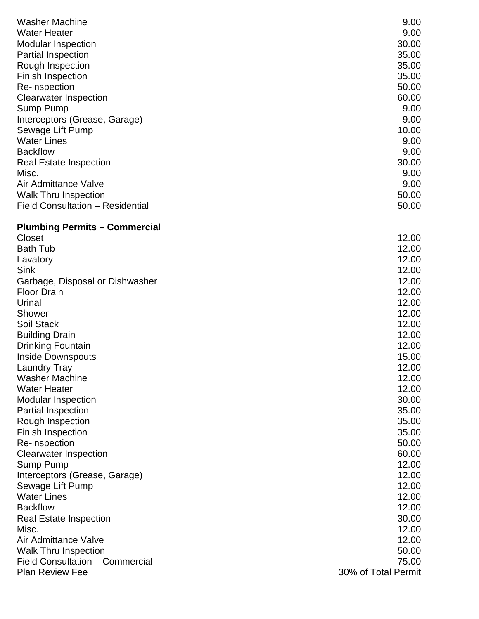| <b>Washer Machine</b><br><b>Water Heater</b><br><b>Modular Inspection</b><br><b>Partial Inspection</b><br>Rough Inspection<br><b>Finish Inspection</b> | 9.00<br>9.00<br>30.00<br>35.00<br>35.00<br>35.00 |
|--------------------------------------------------------------------------------------------------------------------------------------------------------|--------------------------------------------------|
| Re-inspection<br><b>Clearwater Inspection</b><br>Sump Pump<br>Interceptors (Grease, Garage)                                                            | 50.00<br>60.00<br>9.00<br>9.00                   |
| Sewage Lift Pump<br><b>Water Lines</b><br><b>Backflow</b>                                                                                              | 10.00<br>9.00<br>9.00                            |
| <b>Real Estate Inspection</b><br>Misc.<br>Air Admittance Valve                                                                                         | 30.00<br>9.00<br>9.00                            |
| <b>Walk Thru Inspection</b><br>Field Consultation - Residential                                                                                        | 50.00<br>50.00                                   |
| <b>Plumbing Permits - Commercial</b>                                                                                                                   |                                                  |
| Closet                                                                                                                                                 | 12.00                                            |
| <b>Bath Tub</b>                                                                                                                                        | 12.00<br>12.00                                   |
| Lavatory<br><b>Sink</b>                                                                                                                                | 12.00                                            |
| Garbage, Disposal or Dishwasher                                                                                                                        | 12.00                                            |
| <b>Floor Drain</b>                                                                                                                                     | 12.00                                            |
| Urinal                                                                                                                                                 | 12.00                                            |
| Shower                                                                                                                                                 | 12.00                                            |
| Soil Stack                                                                                                                                             | 12.00                                            |
| <b>Building Drain</b>                                                                                                                                  | 12.00                                            |
| <b>Drinking Fountain</b>                                                                                                                               | 12.00                                            |
| <b>Inside Downspouts</b>                                                                                                                               | 15.00                                            |
| Laundry Tray                                                                                                                                           | 12.00                                            |
| <b>Washer Machine</b>                                                                                                                                  | 12.00                                            |
| <b>Water Heater</b>                                                                                                                                    | 12.00                                            |
| <b>Modular Inspection</b>                                                                                                                              | 30.00                                            |
| <b>Partial Inspection</b>                                                                                                                              | 35.00                                            |
| Rough Inspection                                                                                                                                       | 35.00                                            |
| <b>Finish Inspection</b>                                                                                                                               | 35.00                                            |
| Re-inspection                                                                                                                                          | 50.00                                            |
| <b>Clearwater Inspection</b>                                                                                                                           | 60.00                                            |
| Sump Pump                                                                                                                                              | 12.00                                            |
| Interceptors (Grease, Garage)                                                                                                                          | 12.00                                            |
| Sewage Lift Pump                                                                                                                                       | 12.00                                            |
| <b>Water Lines</b>                                                                                                                                     | 12.00                                            |
| <b>Backflow</b>                                                                                                                                        | 12.00                                            |
| <b>Real Estate Inspection</b>                                                                                                                          | 30.00                                            |
| Misc.                                                                                                                                                  | 12.00                                            |
| Air Admittance Valve                                                                                                                                   | 12.00                                            |
| <b>Walk Thru Inspection</b><br>Field Consultation - Commercial                                                                                         | 50.00<br>75.00                                   |
| <b>Plan Review Fee</b>                                                                                                                                 | 30% of Total Permit                              |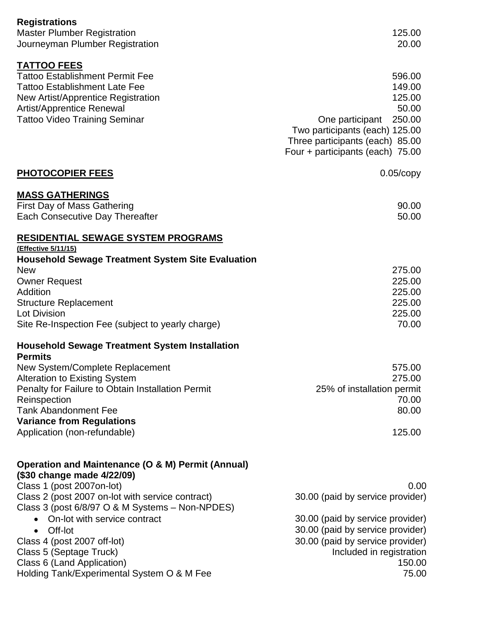| <b>Registrations</b><br><b>Master Plumber Registration</b><br>Journeyman Plumber Registration                                              | 125.00<br>20.00                                                                                                                             |
|--------------------------------------------------------------------------------------------------------------------------------------------|---------------------------------------------------------------------------------------------------------------------------------------------|
|                                                                                                                                            |                                                                                                                                             |
| <b>TATTOO FEES</b><br><b>Tattoo Establishment Permit Fee</b><br><b>Tattoo Establishment Late Fee</b><br>New Artist/Apprentice Registration | 596.00<br>149.00<br>125.00                                                                                                                  |
| <b>Artist/Apprentice Renewal</b><br><b>Tattoo Video Training Seminar</b>                                                                   | 50.00<br>250.00<br>One participant<br>Two participants (each) 125.00<br>Three participants (each) 85.00<br>Four + participants (each) 75.00 |
| <b>PHOTOCOPIER FEES</b>                                                                                                                    | $0.05$ / $\degree$ copy                                                                                                                     |
| <b>MASS GATHERINGS</b><br><b>First Day of Mass Gathering</b><br><b>Each Consecutive Day Thereafter</b>                                     | 90.00<br>50.00                                                                                                                              |
| RESIDENTIAL SEWAGE SYSTEM PROGRAMS                                                                                                         |                                                                                                                                             |
| (Effective 5/11/15)<br><b>Household Sewage Treatment System Site Evaluation</b><br><b>New</b>                                              | 275.00                                                                                                                                      |
| <b>Owner Request</b><br>Addition                                                                                                           | 225.00<br>225.00                                                                                                                            |
| <b>Structure Replacement</b><br><b>Lot Division</b><br>Site Re-Inspection Fee (subject to yearly charge)                                   | 225.00<br>225.00<br>70.00                                                                                                                   |
|                                                                                                                                            |                                                                                                                                             |
| <b>Household Sewage Treatment System Installation</b><br><b>Permits</b>                                                                    |                                                                                                                                             |
| New System/Complete Replacement<br><b>Alteration to Existing System</b>                                                                    | 575.00<br>275.00                                                                                                                            |
| Penalty for Failure to Obtain Installation Permit<br>Reinspection<br><b>Tank Abandonment Fee</b>                                           | 25% of installation permit<br>70.00<br>80.00                                                                                                |
| <b>Variance from Regulations</b><br>Application (non-refundable)                                                                           | 125.00                                                                                                                                      |
| Operation and Maintenance (O & M) Permit (Annual)<br>(\$30 change made 4/22/09)                                                            |                                                                                                                                             |
| Class 1 (post 2007on-lot)                                                                                                                  | 0.00                                                                                                                                        |
| Class 2 (post 2007 on-lot with service contract)<br>Class 3 (post 6/8/97 O & M Systems - Non-NPDES)                                        | 30.00 (paid by service provider)                                                                                                            |
| On-lot with service contract<br>Off-lot<br>$\bullet$                                                                                       | 30.00 (paid by service provider)<br>30.00 (paid by service provider)                                                                        |
| Class 4 (post 2007 off-lot)<br>Class 5 (Septage Truck)<br>Class 6 (Land Application)<br>Holding Tank/Experimental System O & M Fee         | 30.00 (paid by service provider)<br>Included in registration<br>150.00<br>75.00                                                             |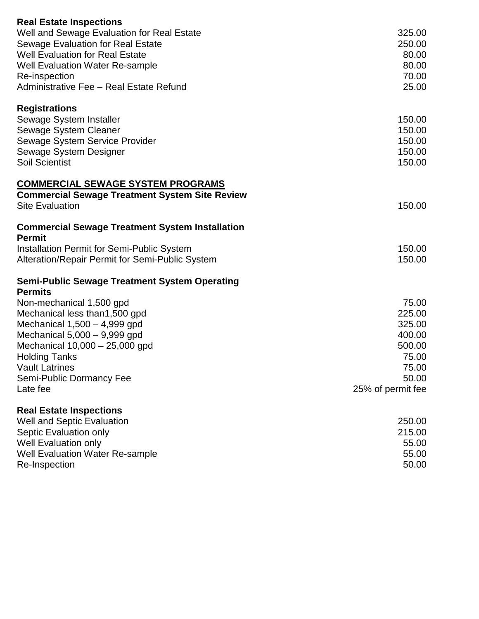| <b>Real Estate Inspections</b>                         |                   |
|--------------------------------------------------------|-------------------|
| Well and Sewage Evaluation for Real Estate             | 325.00            |
| Sewage Evaluation for Real Estate                      | 250.00            |
| <b>Well Evaluation for Real Estate</b>                 | 80.00             |
| <b>Well Evaluation Water Re-sample</b>                 | 80.00             |
|                                                        | 70.00             |
| Re-inspection                                          |                   |
| Administrative Fee - Real Estate Refund                | 25.00             |
| <b>Registrations</b>                                   |                   |
| Sewage System Installer                                | 150.00            |
| Sewage System Cleaner                                  | 150.00            |
| Sewage System Service Provider                         | 150.00            |
| Sewage System Designer                                 | 150.00            |
| <b>Soil Scientist</b>                                  | 150.00            |
| <b>COMMERCIAL SEWAGE SYSTEM PROGRAMS</b>               |                   |
| <b>Commercial Sewage Treatment System Site Review</b>  |                   |
| <b>Site Evaluation</b>                                 | 150.00            |
|                                                        |                   |
| <b>Commercial Sewage Treatment System Installation</b> |                   |
| <b>Permit</b>                                          |                   |
| <b>Installation Permit for Semi-Public System</b>      | 150.00            |
| Alteration/Repair Permit for Semi-Public System        | 150.00            |
| <b>Semi-Public Sewage Treatment System Operating</b>   |                   |
| <b>Permits</b>                                         |                   |
| Non-mechanical 1,500 gpd                               | 75.00             |
| Mechanical less than 1,500 gpd                         | 225.00            |
| Mechanical $1,500 - 4,999$ gpd                         | 325.00            |
| Mechanical $5,000 - 9,999$ gpd                         | 400.00            |
| Mechanical 10,000 - 25,000 gpd                         | 500.00            |
| <b>Holding Tanks</b>                                   | 75.00             |
| <b>Vault Latrines</b>                                  | 75.00             |
| Semi-Public Dormancy Fee                               | 50.00             |
| Late fee                                               | 25% of permit fee |
|                                                        |                   |
| <b>Real Estate Inspections</b>                         |                   |
| <b>Well and Septic Evaluation</b>                      | 250.00            |
| Septic Evaluation only                                 | 215.00            |
| <b>Well Evaluation only</b>                            | 55.00             |
| <b>Well Evaluation Water Re-sample</b>                 | 55.00             |
| Re-Inspection                                          | 50.00             |
|                                                        |                   |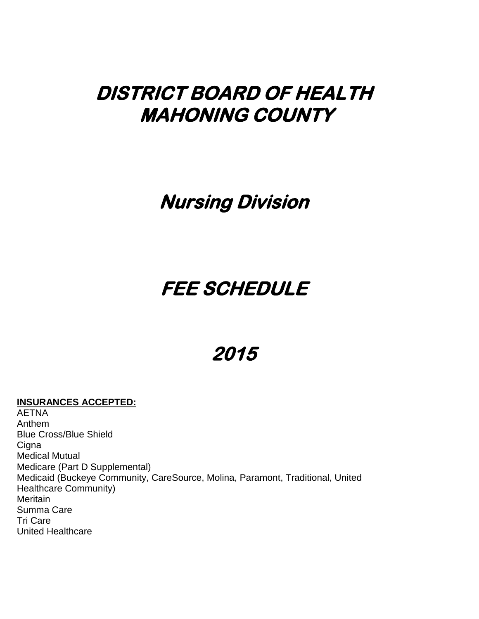## **DISTRICT BOARD OF HEALTH MAHONING COUNTY**

### **Nursing Division**

## **FEE SCHEDULE**

## **2015**

#### **INSURANCES ACCEPTED:**

AETNA Anthem Blue Cross/Blue Shield **Cigna** Medical Mutual Medicare (Part D Supplemental) Medicaid (Buckeye Community, CareSource, Molina, Paramont, Traditional, United Healthcare Community) Meritain Summa Care Tri Care United Healthcare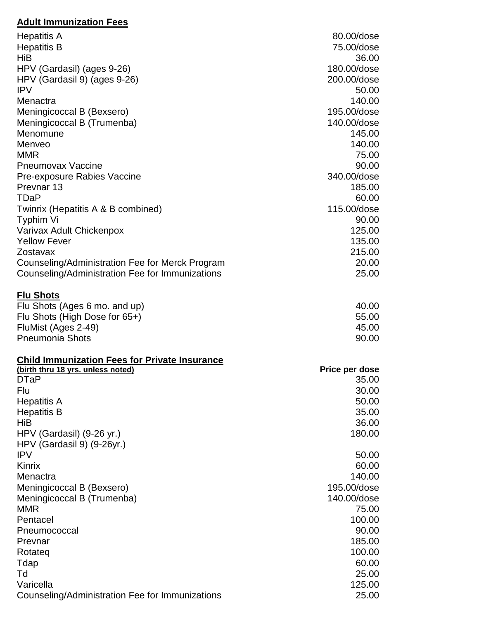#### **Adult Immunization Fees**

| <b>Hepatitis A</b>                                           | 80.00/dose                 |
|--------------------------------------------------------------|----------------------------|
| <b>Hepatitis B</b>                                           | 75.00/dose                 |
| HiB                                                          | 36.00                      |
| HPV (Gardasil) (ages 9-26)                                   | 180.00/dose                |
| HPV (Gardasil 9) (ages 9-26)                                 | 200.00/dose                |
| <b>IPV</b>                                                   | 50.00                      |
| Menactra                                                     | 140.00                     |
| Meningicoccal B (Bexsero)                                    | 195.00/dose<br>140.00/dose |
| Meningicoccal B (Trumenba)<br>Menomune                       | 145.00                     |
| Menveo                                                       | 140.00                     |
| <b>MMR</b>                                                   | 75.00                      |
| <b>Pneumovax Vaccine</b>                                     | 90.00                      |
| Pre-exposure Rabies Vaccine                                  | 340.00/dose                |
| Prevnar <sub>13</sub>                                        | 185.00                     |
| <b>TDaP</b>                                                  | 60.00                      |
| Twinrix (Hepatitis A & B combined)                           | 115.00/dose                |
| Typhim Vi                                                    | 90.00                      |
| Varivax Adult Chickenpox                                     | 125.00                     |
| <b>Yellow Fever</b>                                          | 135.00                     |
| Zostavax                                                     | 215.00                     |
| Counseling/Administration Fee for Merck Program              | 20.00                      |
| Counseling/Administration Fee for Immunizations              | 25.00                      |
| <b>Flu Shots</b>                                             |                            |
| Flu Shots (Ages 6 mo. and up)                                | 40.00                      |
| Flu Shots (High Dose for 65+)                                | 55.00                      |
| FluMist (Ages 2-49)                                          | 45.00                      |
| <b>Pneumonia Shots</b>                                       | 90.00                      |
| <b>Child Immunization Fees for Private Insurance</b>         |                            |
| (birth thru 18 yrs. unless noted)<br><b>DTaP</b>             | Price per dose<br>35.00    |
| Flu                                                          | 30.00                      |
| <b>Hepatitis A</b>                                           | 50.00                      |
| <b>Hepatitis B</b>                                           | 35.00                      |
| HiB                                                          | 36.00                      |
| HPV (Gardasil) (9-26 yr.)                                    | 180.00                     |
| HPV (Gardasil 9) (9-26yr.)                                   |                            |
| <b>IPV</b>                                                   | 50.00                      |
| <b>Kinrix</b>                                                | 60.00                      |
|                                                              |                            |
| Menactra                                                     | 140.00                     |
| Meningicoccal B (Bexsero)                                    | 195.00/dose                |
| Meningicoccal B (Trumenba)                                   | 140.00/dose                |
| <b>MMR</b>                                                   | 75.00                      |
| Pentacel                                                     | 100.00                     |
| Pneumococcal                                                 | 90.00                      |
| Prevnar                                                      | 185.00                     |
| Rotateg                                                      | 100.00                     |
| Tdap                                                         | 60.00                      |
| Td                                                           | 25.00                      |
| Varicella<br>Counseling/Administration Fee for Immunizations | 125.00<br>25.00            |